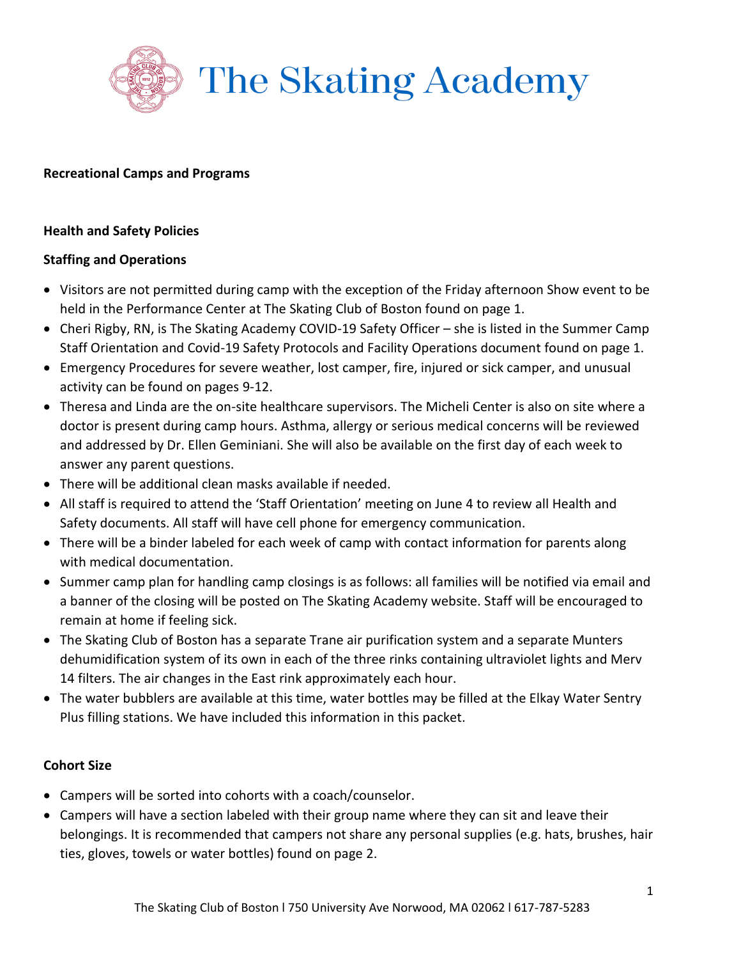

#### **Recreational Camps and Programs**

#### **Health and Safety Policies**

## **Staffing and Operations**

- Visitors are not permitted during camp with the exception of the Friday afternoon Show event to be held in the Performance Center at The Skating Club of Boston found on page 1.
- Cheri Rigby, RN, is The Skating Academy COVID-19 Safety Officer she is listed in the Summer Camp Staff Orientation and Covid-19 Safety Protocols and Facility Operations document found on page 1.
- Emergency Procedures for severe weather, lost camper, fire, injured or sick camper, and unusual activity can be found on pages 9-12.
- Theresa and Linda are the on-site healthcare supervisors. The Micheli Center is also on site where a doctor is present during camp hours. Asthma, allergy or serious medical concerns will be reviewed and addressed by Dr. Ellen Geminiani. She will also be available on the first day of each week to answer any parent questions.
- There will be additional clean masks available if needed.
- All staff is required to attend the 'Staff Orientation' meeting on June 4 to review all Health and Safety documents. All staff will have cell phone for emergency communication.
- There will be a binder labeled for each week of camp with contact information for parents along with medical documentation.
- Summer camp plan for handling camp closings is as follows: all families will be notified via email and a banner of the closing will be posted on The Skating Academy website. Staff will be encouraged to remain at home if feeling sick.
- The Skating Club of Boston has a separate Trane air purification system and a separate Munters dehumidification system of its own in each of the three rinks containing ultraviolet lights and Merv 14 filters. The air changes in the East rink approximately each hour.
- The water bubblers are available at this time, water bottles may be filled at the Elkay Water Sentry Plus filling stations. We have included this information in this packet.

# **Cohort Size**

- Campers will be sorted into cohorts with a coach/counselor.
- Campers will have a section labeled with their group name where they can sit and leave their belongings. It is recommended that campers not share any personal supplies (e.g. hats, brushes, hair ties, gloves, towels or water bottles) found on page 2.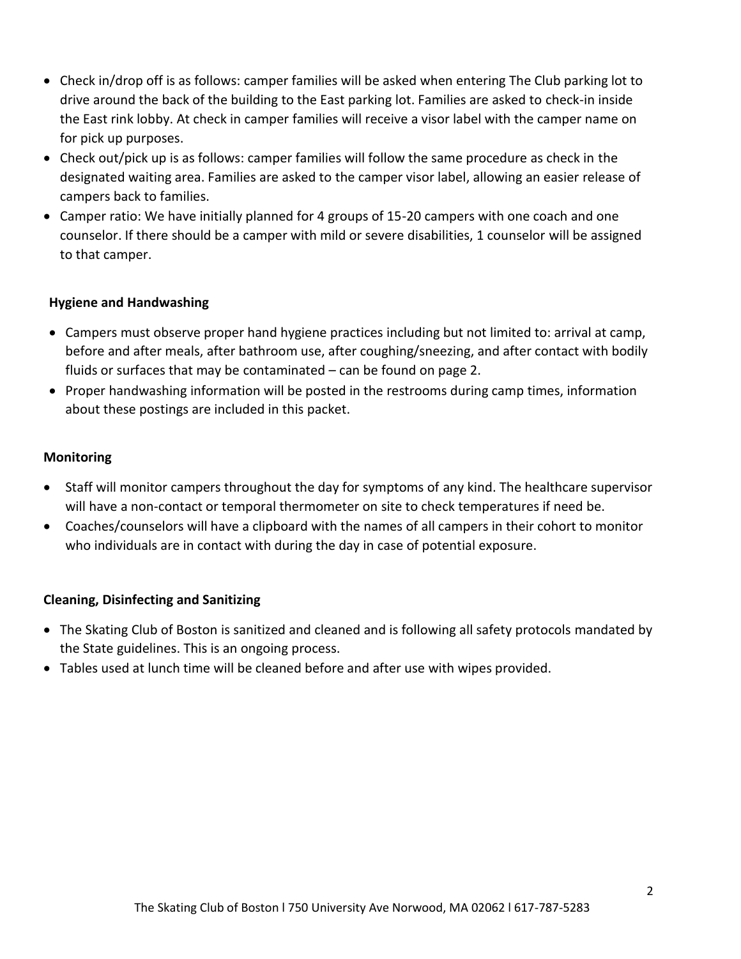- Check in/drop off is as follows: camper families will be asked when entering The Club parking lot to drive around the back of the building to the East parking lot. Families are asked to check-in inside the East rink lobby. At check in camper families will receive a visor label with the camper name on for pick up purposes.
- Check out/pick up is as follows: camper families will follow the same procedure as check in the designated waiting area. Families are asked to the camper visor label, allowing an easier release of campers back to families.
- Camper ratio: We have initially planned for 4 groups of 15-20 campers with one coach and one counselor. If there should be a camper with mild or severe disabilities, 1 counselor will be assigned to that camper.

## **Hygiene and Handwashing**

- Campers must observe proper hand hygiene practices including but not limited to: arrival at camp, before and after meals, after bathroom use, after coughing/sneezing, and after contact with bodily fluids or surfaces that may be contaminated – can be found on page 2.
- Proper handwashing information will be posted in the restrooms during camp times, information about these postings are included in this packet.

#### **Monitoring**

- Staff will monitor campers throughout the day for symptoms of any kind. The healthcare supervisor will have a non-contact or temporal thermometer on site to check temperatures if need be.
- Coaches/counselors will have a clipboard with the names of all campers in their cohort to monitor who individuals are in contact with during the day in case of potential exposure.

# **Cleaning, Disinfecting and Sanitizing**

- The Skating Club of Boston is sanitized and cleaned and is following all safety protocols mandated by the State guidelines. This is an ongoing process.
- Tables used at lunch time will be cleaned before and after use with wipes provided.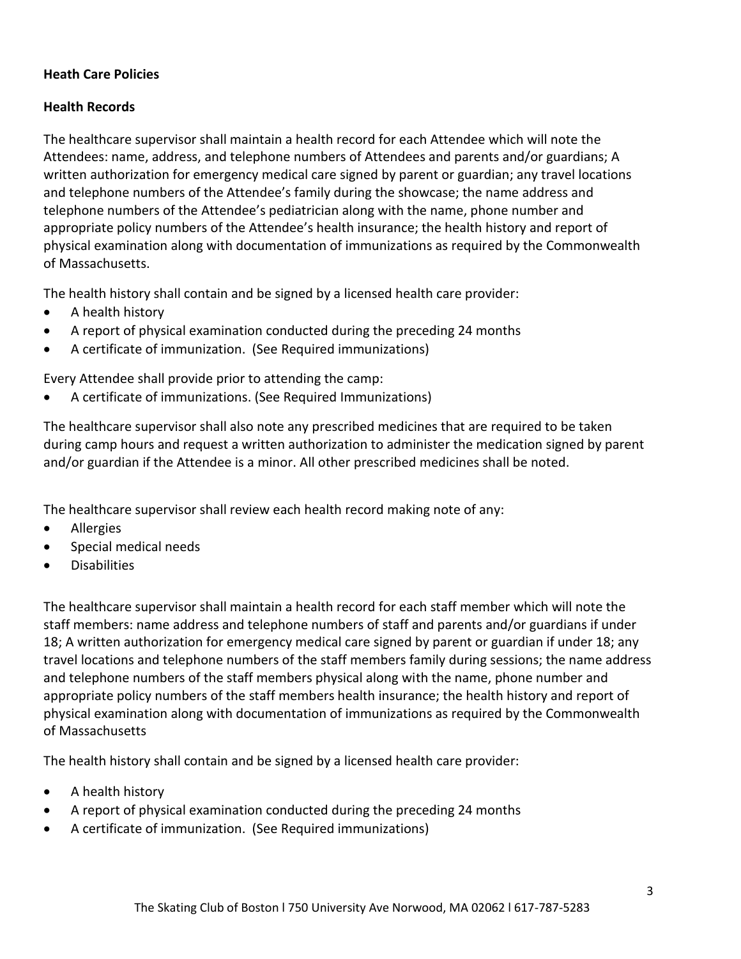## **Heath Care Policies**

## **Health Records**

The healthcare supervisor shall maintain a health record for each Attendee which will note the Attendees: name, address, and telephone numbers of Attendees and parents and/or guardians; A written authorization for emergency medical care signed by parent or guardian; any travel locations and telephone numbers of the Attendee's family during the showcase; the name address and telephone numbers of the Attendee's pediatrician along with the name, phone number and appropriate policy numbers of the Attendee's health insurance; the health history and report of physical examination along with documentation of immunizations as required by the Commonwealth of Massachusetts.

The health history shall contain and be signed by a licensed health care provider:

- A health history
- A report of physical examination conducted during the preceding 24 months
- A certificate of immunization. (See Required immunizations)

Every Attendee shall provide prior to attending the camp:

A certificate of immunizations. (See Required Immunizations)

The healthcare supervisor shall also note any prescribed medicines that are required to be taken during camp hours and request a written authorization to administer the medication signed by parent and/or guardian if the Attendee is a minor. All other prescribed medicines shall be noted.

The healthcare supervisor shall review each health record making note of any:

- Allergies
- Special medical needs
- **•** Disabilities

The healthcare supervisor shall maintain a health record for each staff member which will note the staff members: name address and telephone numbers of staff and parents and/or guardians if under 18; A written authorization for emergency medical care signed by parent or guardian if under 18; any travel locations and telephone numbers of the staff members family during sessions; the name address and telephone numbers of the staff members physical along with the name, phone number and appropriate policy numbers of the staff members health insurance; the health history and report of physical examination along with documentation of immunizations as required by the Commonwealth of Massachusetts

The health history shall contain and be signed by a licensed health care provider:

- A health history
- A report of physical examination conducted during the preceding 24 months
- A certificate of immunization. (See Required immunizations)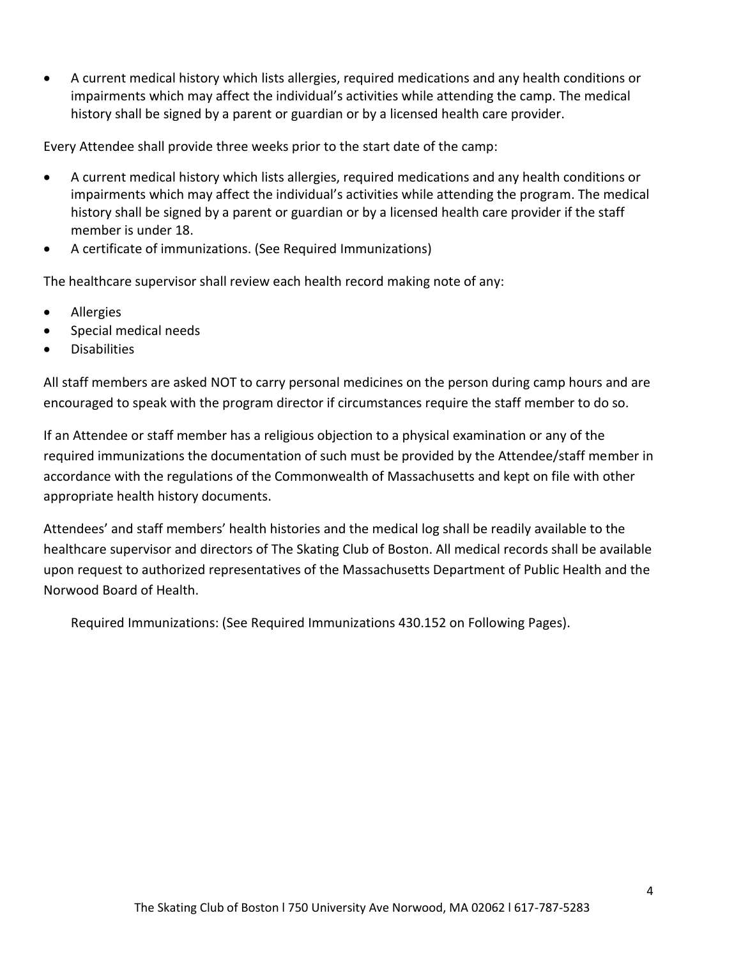A current medical history which lists allergies, required medications and any health conditions or impairments which may affect the individual's activities while attending the camp. The medical history shall be signed by a parent or guardian or by a licensed health care provider.

Every Attendee shall provide three weeks prior to the start date of the camp:

- A current medical history which lists allergies, required medications and any health conditions or impairments which may affect the individual's activities while attending the program. The medical history shall be signed by a parent or guardian or by a licensed health care provider if the staff member is under 18.
- A certificate of immunizations. (See Required Immunizations)

The healthcare supervisor shall review each health record making note of any:

- Allergies
- Special medical needs
- **Disabilities**

All staff members are asked NOT to carry personal medicines on the person during camp hours and are encouraged to speak with the program director if circumstances require the staff member to do so.

If an Attendee or staff member has a religious objection to a physical examination or any of the required immunizations the documentation of such must be provided by the Attendee/staff member in accordance with the regulations of the Commonwealth of Massachusetts and kept on file with other appropriate health history documents.

Attendees' and staff members' health histories and the medical log shall be readily available to the healthcare supervisor and directors of The Skating Club of Boston. All medical records shall be available upon request to authorized representatives of the Massachusetts Department of Public Health and the Norwood Board of Health.

Required Immunizations: (See Required Immunizations 430.152 on Following Pages).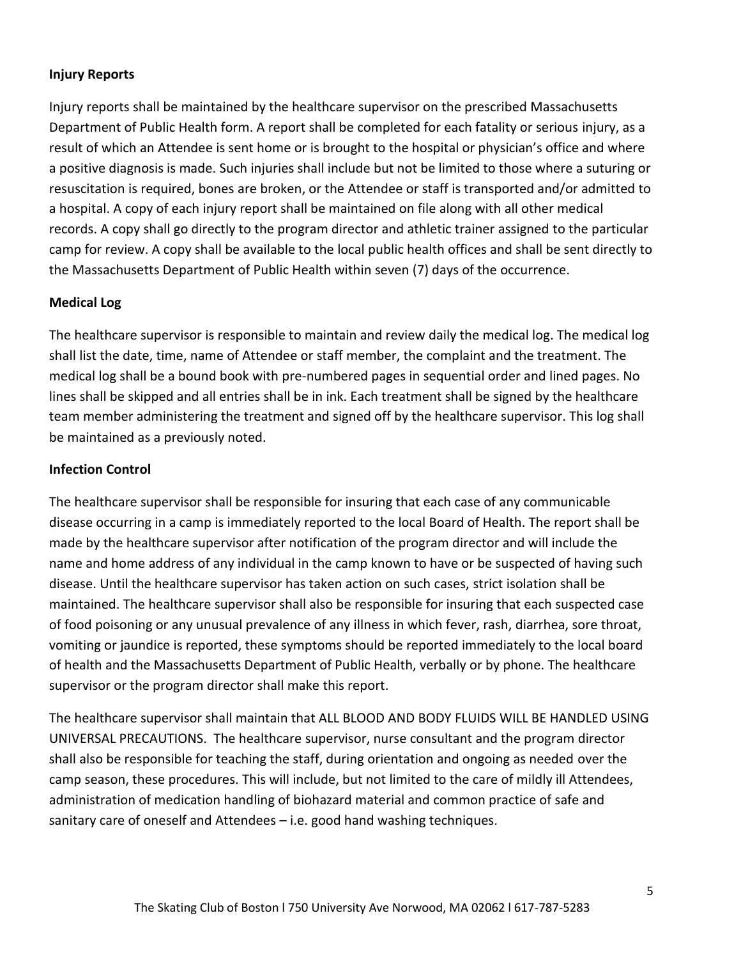## **Injury Reports**

Injury reports shall be maintained by the healthcare supervisor on the prescribed Massachusetts Department of Public Health form. A report shall be completed for each fatality or serious injury, as a result of which an Attendee is sent home or is brought to the hospital or physician's office and where a positive diagnosis is made. Such injuries shall include but not be limited to those where a suturing or resuscitation is required, bones are broken, or the Attendee or staff is transported and/or admitted to a hospital. A copy of each injury report shall be maintained on file along with all other medical records. A copy shall go directly to the program director and athletic trainer assigned to the particular camp for review. A copy shall be available to the local public health offices and shall be sent directly to the Massachusetts Department of Public Health within seven (7) days of the occurrence.

# **Medical Log**

The healthcare supervisor is responsible to maintain and review daily the medical log. The medical log shall list the date, time, name of Attendee or staff member, the complaint and the treatment. The medical log shall be a bound book with pre-numbered pages in sequential order and lined pages. No lines shall be skipped and all entries shall be in ink. Each treatment shall be signed by the healthcare team member administering the treatment and signed off by the healthcare supervisor. This log shall be maintained as a previously noted.

# **Infection Control**

The healthcare supervisor shall be responsible for insuring that each case of any communicable disease occurring in a camp is immediately reported to the local Board of Health. The report shall be made by the healthcare supervisor after notification of the program director and will include the name and home address of any individual in the camp known to have or be suspected of having such disease. Until the healthcare supervisor has taken action on such cases, strict isolation shall be maintained. The healthcare supervisor shall also be responsible for insuring that each suspected case of food poisoning or any unusual prevalence of any illness in which fever, rash, diarrhea, sore throat, vomiting or jaundice is reported, these symptoms should be reported immediately to the local board of health and the Massachusetts Department of Public Health, verbally or by phone. The healthcare supervisor or the program director shall make this report.

The healthcare supervisor shall maintain that ALL BLOOD AND BODY FLUIDS WILL BE HANDLED USING UNIVERSAL PRECAUTIONS. The healthcare supervisor, nurse consultant and the program director shall also be responsible for teaching the staff, during orientation and ongoing as needed over the camp season, these procedures. This will include, but not limited to the care of mildly ill Attendees, administration of medication handling of biohazard material and common practice of safe and sanitary care of oneself and Attendees – i.e. good hand washing techniques.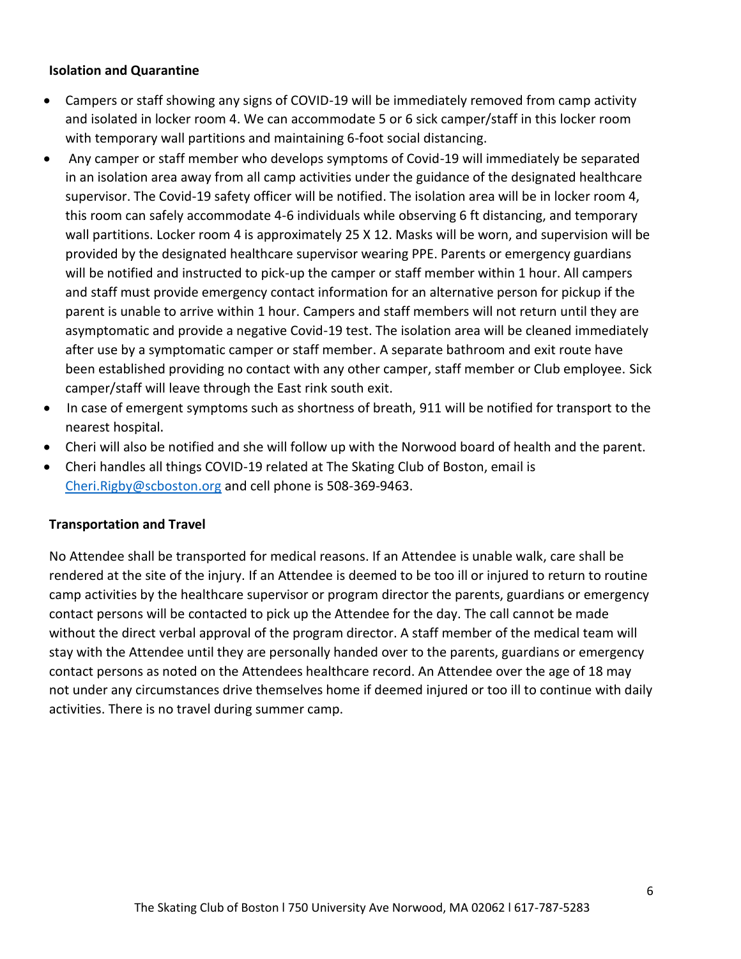## **Isolation and Quarantine**

- Campers or staff showing any signs of COVID-19 will be immediately removed from camp activity and isolated in locker room 4. We can accommodate 5 or 6 sick camper/staff in this locker room with temporary wall partitions and maintaining 6-foot social distancing.
- Any camper or staff member who develops symptoms of Covid-19 will immediately be separated in an isolation area away from all camp activities under the guidance of the designated healthcare supervisor. The Covid-19 safety officer will be notified. The isolation area will be in locker room 4, this room can safely accommodate 4-6 individuals while observing 6 ft distancing, and temporary wall partitions. Locker room 4 is approximately 25 X 12. Masks will be worn, and supervision will be provided by the designated healthcare supervisor wearing PPE. Parents or emergency guardians will be notified and instructed to pick-up the camper or staff member within 1 hour. All campers and staff must provide emergency contact information for an alternative person for pickup if the parent is unable to arrive within 1 hour. Campers and staff members will not return until they are asymptomatic and provide a negative Covid-19 test. The isolation area will be cleaned immediately after use by a symptomatic camper or staff member. A separate bathroom and exit route have been established providing no contact with any other camper, staff member or Club employee. Sick camper/staff will leave through the East rink south exit.
- In case of emergent symptoms such as shortness of breath, 911 will be notified for transport to the nearest hospital.
- Cheri will also be notified and she will follow up with the Norwood board of health and the parent.
- Cheri handles all things COVID-19 related at The Skating Club of Boston, email is [Cheri.Rigby@scboston.org](mailto:Cheri.Rigby@scboston.org) and cell phone is 508-369-9463.

#### **Transportation and Travel**

No Attendee shall be transported for medical reasons. If an Attendee is unable walk, care shall be rendered at the site of the injury. If an Attendee is deemed to be too ill or injured to return to routine camp activities by the healthcare supervisor or program director the parents, guardians or emergency contact persons will be contacted to pick up the Attendee for the day. The call cannot be made without the direct verbal approval of the program director. A staff member of the medical team will stay with the Attendee until they are personally handed over to the parents, guardians or emergency contact persons as noted on the Attendees healthcare record. An Attendee over the age of 18 may not under any circumstances drive themselves home if deemed injured or too ill to continue with daily activities. There is no travel during summer camp.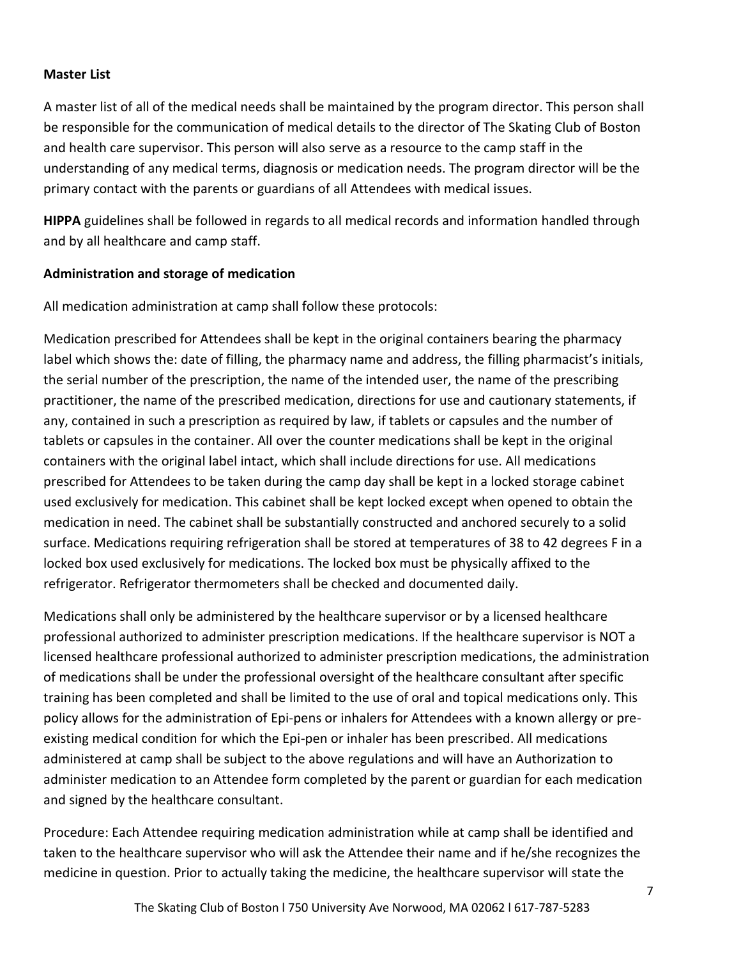## **Master List**

A master list of all of the medical needs shall be maintained by the program director. This person shall be responsible for the communication of medical details to the director of The Skating Club of Boston and health care supervisor. This person will also serve as a resource to the camp staff in the understanding of any medical terms, diagnosis or medication needs. The program director will be the primary contact with the parents or guardians of all Attendees with medical issues.

**HIPPA** guidelines shall be followed in regards to all medical records and information handled through and by all healthcare and camp staff.

## **Administration and storage of medication**

All medication administration at camp shall follow these protocols:

Medication prescribed for Attendees shall be kept in the original containers bearing the pharmacy label which shows the: date of filling, the pharmacy name and address, the filling pharmacist's initials, the serial number of the prescription, the name of the intended user, the name of the prescribing practitioner, the name of the prescribed medication, directions for use and cautionary statements, if any, contained in such a prescription as required by law, if tablets or capsules and the number of tablets or capsules in the container. All over the counter medications shall be kept in the original containers with the original label intact, which shall include directions for use. All medications prescribed for Attendees to be taken during the camp day shall be kept in a locked storage cabinet used exclusively for medication. This cabinet shall be kept locked except when opened to obtain the medication in need. The cabinet shall be substantially constructed and anchored securely to a solid surface. Medications requiring refrigeration shall be stored at temperatures of 38 to 42 degrees F in a locked box used exclusively for medications. The locked box must be physically affixed to the refrigerator. Refrigerator thermometers shall be checked and documented daily.

Medications shall only be administered by the healthcare supervisor or by a licensed healthcare professional authorized to administer prescription medications. If the healthcare supervisor is NOT a licensed healthcare professional authorized to administer prescription medications, the administration of medications shall be under the professional oversight of the healthcare consultant after specific training has been completed and shall be limited to the use of oral and topical medications only. This policy allows for the administration of Epi-pens or inhalers for Attendees with a known allergy or preexisting medical condition for which the Epi-pen or inhaler has been prescribed. All medications administered at camp shall be subject to the above regulations and will have an Authorization to administer medication to an Attendee form completed by the parent or guardian for each medication and signed by the healthcare consultant.

Procedure: Each Attendee requiring medication administration while at camp shall be identified and taken to the healthcare supervisor who will ask the Attendee their name and if he/she recognizes the medicine in question. Prior to actually taking the medicine, the healthcare supervisor will state the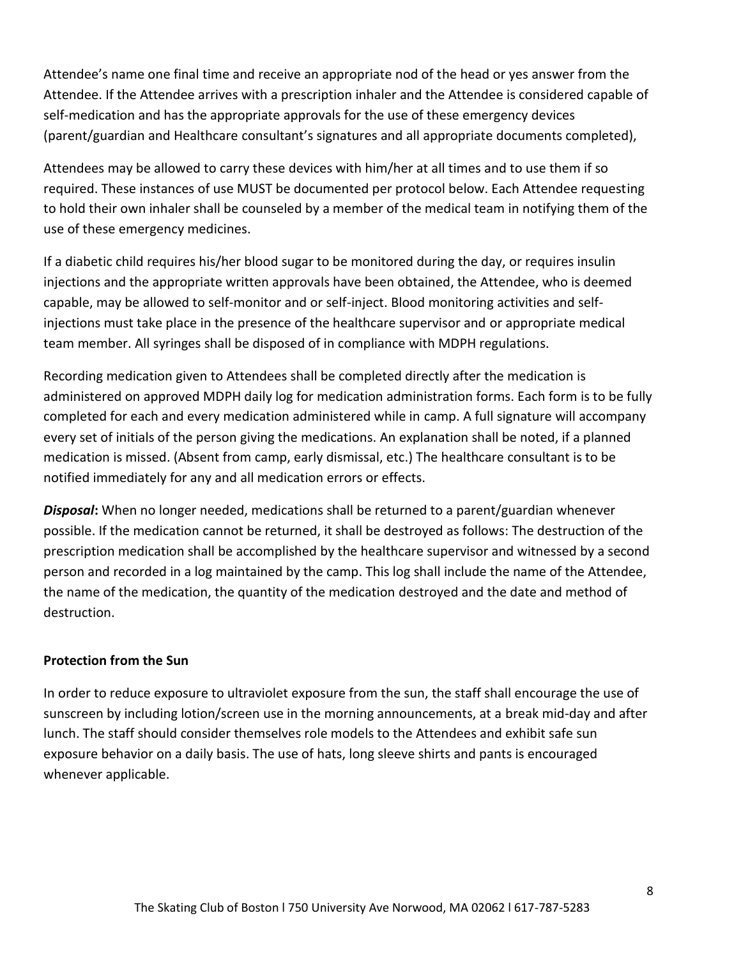Attendee's name one final time and receive an appropriate nod of the head or yes answer from the Attendee. If the Attendee arrives with a prescription inhaler and the Attendee is considered capable of self-medication and has the appropriate approvals for the use of these emergency devices (parent/guardian and Healthcare consultant's signatures and all appropriate documents completed),

Attendees may be allowed to carry these devices with him/her at all times and to use them if so required. These instances of use MUST be documented per protocol below. Each Attendee requesting to hold their own inhaler shall be counseled by a member of the medical team in notifying them of the use of these emergency medicines.

If a diabetic child requires his/her blood sugar to be monitored during the day, or requires insulin injections and the appropriate written approvals have been obtained, the Attendee, who is deemed capable, may be allowed to self-monitor and or self-inject. Blood monitoring activities and selfinjections must take place in the presence of the healthcare supervisor and or appropriate medical team member. All syringes shall be disposed of in compliance with MDPH regulations.

Recording medication given to Attendees shall be completed directly after the medication is administered on approved MDPH daily log for medication administration forms. Each form is to be fully completed for each and every medication administered while in camp. A full signature will accompany every set of initials of the person giving the medications. An explanation shall be noted, if a planned medication is missed. (Absent from camp, early dismissal, etc.) The healthcare consultant is to be notified immediately for any and all medication errors or effects.

*Disposal***:** When no longer needed, medications shall be returned to a parent/guardian whenever possible. If the medication cannot be returned, it shall be destroyed as follows: The destruction of the prescription medication shall be accomplished by the healthcare supervisor and witnessed by a second person and recorded in a log maintained by the camp. This log shall include the name of the Attendee, the name of the medication, the quantity of the medication destroyed and the date and method of destruction.

#### **Protection from the Sun**

In order to reduce exposure to ultraviolet exposure from the sun, the staff shall encourage the use of sunscreen by including lotion/screen use in the morning announcements, at a break mid-day and after lunch. The staff should consider themselves role models to the Attendees and exhibit safe sun exposure behavior on a daily basis. The use of hats, long sleeve shirts and pants is encouraged whenever applicable.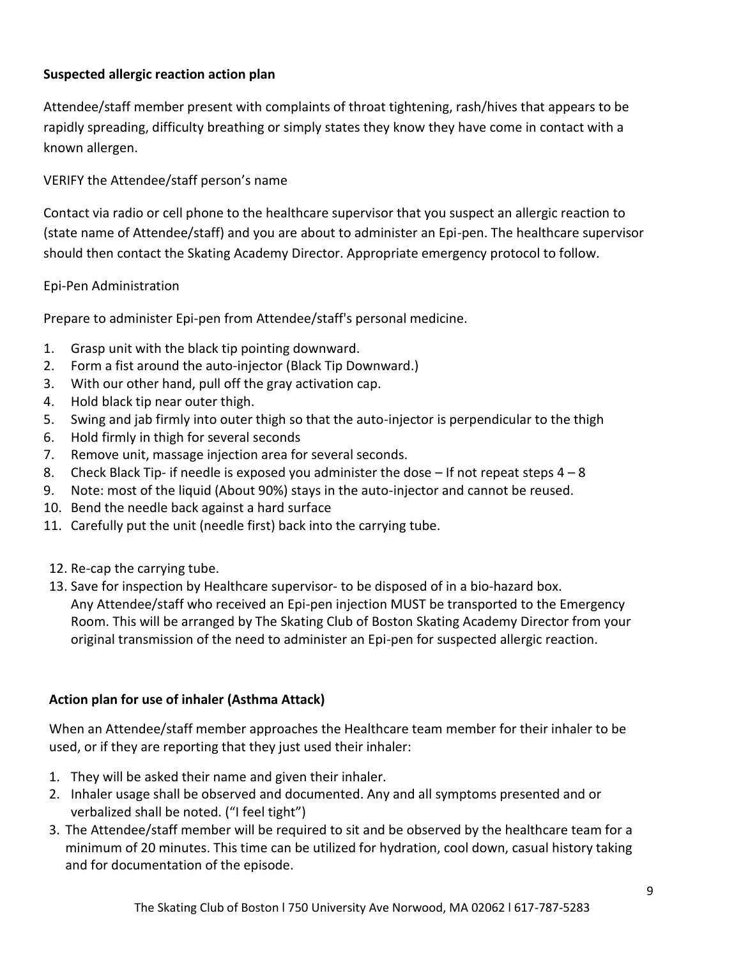# **Suspected allergic reaction action plan**

Attendee/staff member present with complaints of throat tightening, rash/hives that appears to be rapidly spreading, difficulty breathing or simply states they know they have come in contact with a known allergen.

# VERIFY the Attendee/staff person's name

Contact via radio or cell phone to the healthcare supervisor that you suspect an allergic reaction to (state name of Attendee/staff) and you are about to administer an Epi-pen. The healthcare supervisor should then contact the Skating Academy Director. Appropriate emergency protocol to follow.

# Epi-Pen Administration

Prepare to administer Epi-pen from Attendee/staff's personal medicine.

- 1. Grasp unit with the black tip pointing downward.
- 2. Form a fist around the auto-injector (Black Tip Downward.)
- 3. With our other hand, pull off the gray activation cap.
- 4. Hold black tip near outer thigh.
- 5. Swing and jab firmly into outer thigh so that the auto-injector is perpendicular to the thigh
- 6. Hold firmly in thigh for several seconds
- 7. Remove unit, massage injection area for several seconds.
- 8. Check Black Tip- if needle is exposed you administer the dose  $-$  If not repeat steps  $4-8$
- 9. Note: most of the liquid (About 90%) stays in the auto-injector and cannot be reused.
- 10. Bend the needle back against a hard surface
- 11. Carefully put the unit (needle first) back into the carrying tube.
- 12. Re-cap the carrying tube.
- 13. Save for inspection by Healthcare supervisor- to be disposed of in a bio-hazard box. Any Attendee/staff who received an Epi-pen injection MUST be transported to the Emergency Room. This will be arranged by The Skating Club of Boston Skating Academy Director from your original transmission of the need to administer an Epi-pen for suspected allergic reaction.

# **Action plan for use of inhaler (Asthma Attack)**

When an Attendee/staff member approaches the Healthcare team member for their inhaler to be used, or if they are reporting that they just used their inhaler:

- 1. They will be asked their name and given their inhaler.
- 2. Inhaler usage shall be observed and documented. Any and all symptoms presented and or verbalized shall be noted. ("I feel tight")
- 3. The Attendee/staff member will be required to sit and be observed by the healthcare team for a minimum of 20 minutes. This time can be utilized for hydration, cool down, casual history taking and for documentation of the episode.